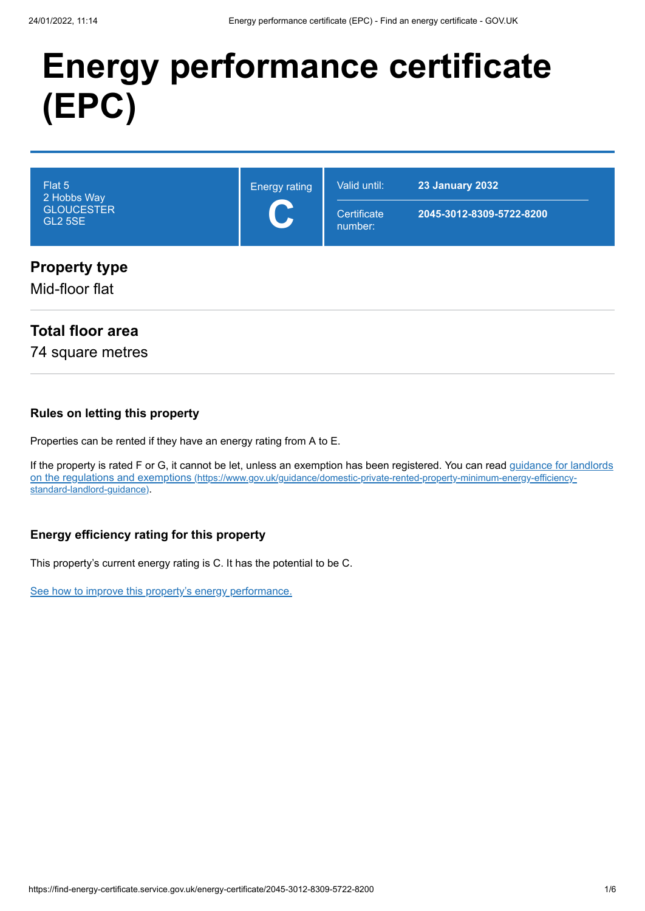# **Energy performance certificate (EPC)**

| Flat 5<br>2 Hobbs Way<br><b>GLOUCESTER</b><br><b>GL2 5SE</b> | <b>Energy rating</b><br>$\mathbf C$ | Valid until:<br>Certificate<br>number: | <b>23 January 2032</b><br>2045-3012-8309-5722-8200 |
|--------------------------------------------------------------|-------------------------------------|----------------------------------------|----------------------------------------------------|
| <b>Property type</b><br>Mid-floor flat                       |                                     |                                        |                                                    |

## **Total floor area**

74 square metres

### **Rules on letting this property**

Properties can be rented if they have an energy rating from A to E.

[If the property is rated F or G, it cannot be let, unless an exemption has been registered. You can read guidance for landlords](https://www.gov.uk/guidance/domestic-private-rented-property-minimum-energy-efficiency-standard-landlord-guidance) on the regulations and exemptions (https://www.gov.uk/guidance/domestic-private-rented-property-minimum-energy-efficiencystandard-landlord-guidance).

### **Energy efficiency rating for this property**

This property's current energy rating is C. It has the potential to be C.

[See how to improve this property's energy performance.](#page-3-0)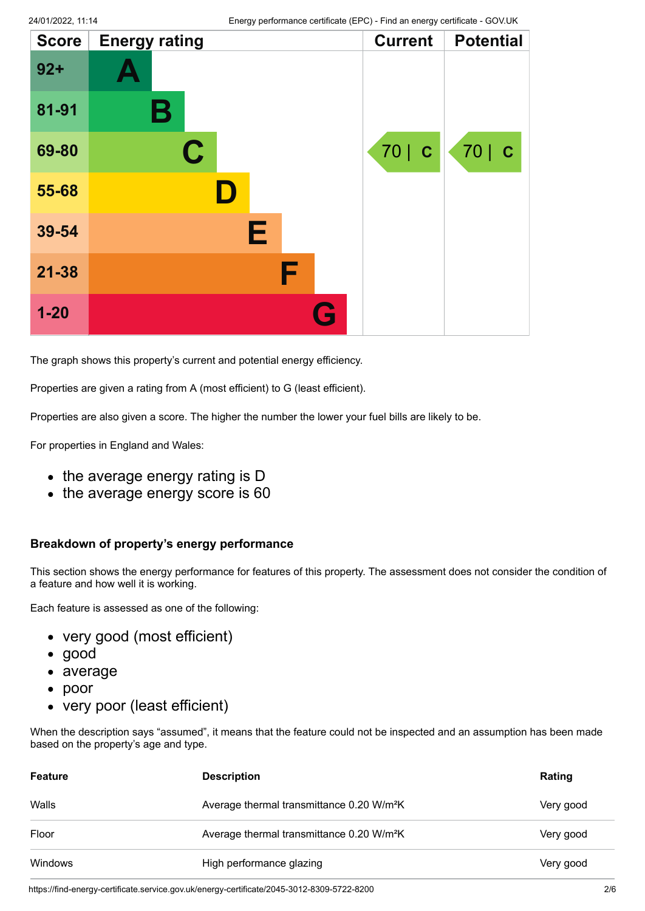| <b>Score</b> | <b>Energy rating</b> |   | <b>Current</b> | <b>Potential</b> |
|--------------|----------------------|---|----------------|------------------|
| $92 +$       |                      |   |                |                  |
| 81-91        | Β                    |   |                |                  |
| 69-80        | $\mathbf C$          |   | 70   C         | 70   C           |
| 55-68        |                      |   |                |                  |
| 39-54        |                      | E |                |                  |
| $21 - 38$    |                      | F |                |                  |
| $1 - 20$     |                      | G |                |                  |

The graph shows this property's current and potential energy efficiency.

Properties are given a rating from A (most efficient) to G (least efficient).

Properties are also given a score. The higher the number the lower your fuel bills are likely to be.

For properties in England and Wales:

- the average energy rating is D
- the average energy score is 60

#### **Breakdown of property's energy performance**

This section shows the energy performance for features of this property. The assessment does not consider the condition of a feature and how well it is working.

Each feature is assessed as one of the following:

- very good (most efficient)
- good
- average
- poor
- very poor (least efficient)

When the description says "assumed", it means that the feature could not be inspected and an assumption has been made based on the property's age and type.

| <b>Feature</b> | <b>Description</b>                                    | Rating    |
|----------------|-------------------------------------------------------|-----------|
| Walls          | Average thermal transmittance 0.20 W/m <sup>2</sup> K | Very good |
| Floor          | Average thermal transmittance 0.20 W/m <sup>2</sup> K | Very good |
| Windows        | High performance glazing                              | Very good |

https://find-energy-certificate.service.gov.uk/energy-certificate/2045-3012-8309-5722-8200 2/6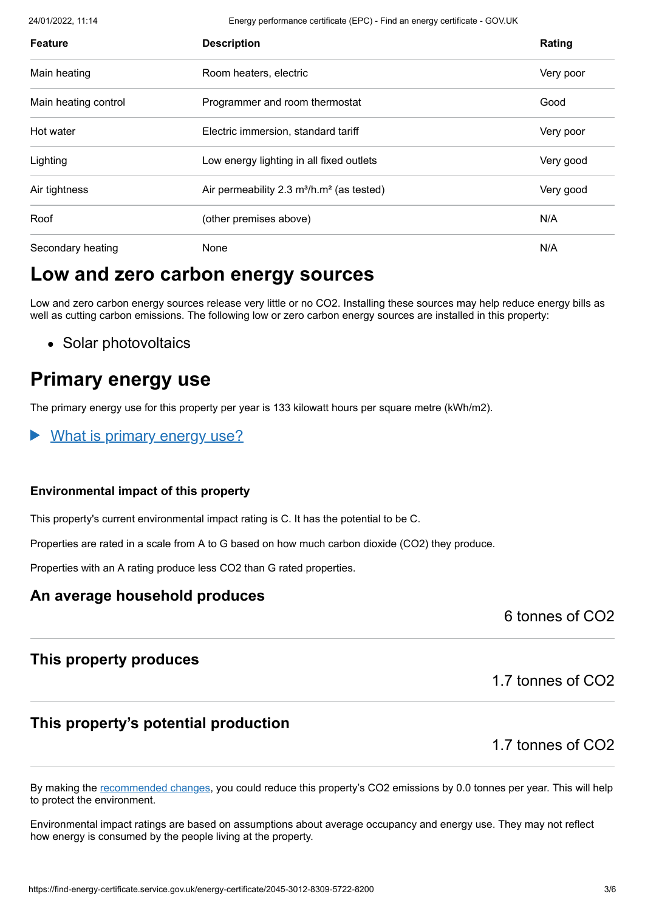24/01/2022, 11:14 Energy performance certificate (EPC) - Find an energy certificate - GOV.UK

| <b>Feature</b>       | <b>Description</b>                           | Rating    |
|----------------------|----------------------------------------------|-----------|
| Main heating         | Room heaters, electric                       | Very poor |
| Main heating control | Programmer and room thermostat               | Good      |
| Hot water            | Electric immersion, standard tariff          | Very poor |
| Lighting             | Low energy lighting in all fixed outlets     | Very good |
| Air tightness        | Air permeability 2.3 $m^3/h.m^2$ (as tested) | Very good |
| Roof                 | (other premises above)                       | N/A       |
| Secondary heating    | None                                         | N/A       |

# **Low and zero carbon energy sources**

Low and zero carbon energy sources release very little or no CO2. Installing these sources may help reduce energy bills as well as cutting carbon emissions. The following low or zero carbon energy sources are installed in this property:

• Solar photovoltaics

# **Primary energy use**

The primary energy use for this property per year is 133 kilowatt hours per square metre (kWh/m2).

What is primary energy use?

#### **Environmental impact of this property**

This property's current environmental impact rating is C. It has the potential to be C.

Properties are rated in a scale from A to G based on how much carbon dioxide (CO2) they produce.

Properties with an A rating produce less CO2 than G rated properties.

### **An average household produces**

6 tonnes of CO2

### **This property produces**

1.7 tonnes of CO2

### **This property's potential production**

1.7 tonnes of CO2

By making the [recommended changes](#page-3-0), you could reduce this property's CO2 emissions by 0.0 tonnes per year. This will help to protect the environment.

Environmental impact ratings are based on assumptions about average occupancy and energy use. They may not reflect how energy is consumed by the people living at the property.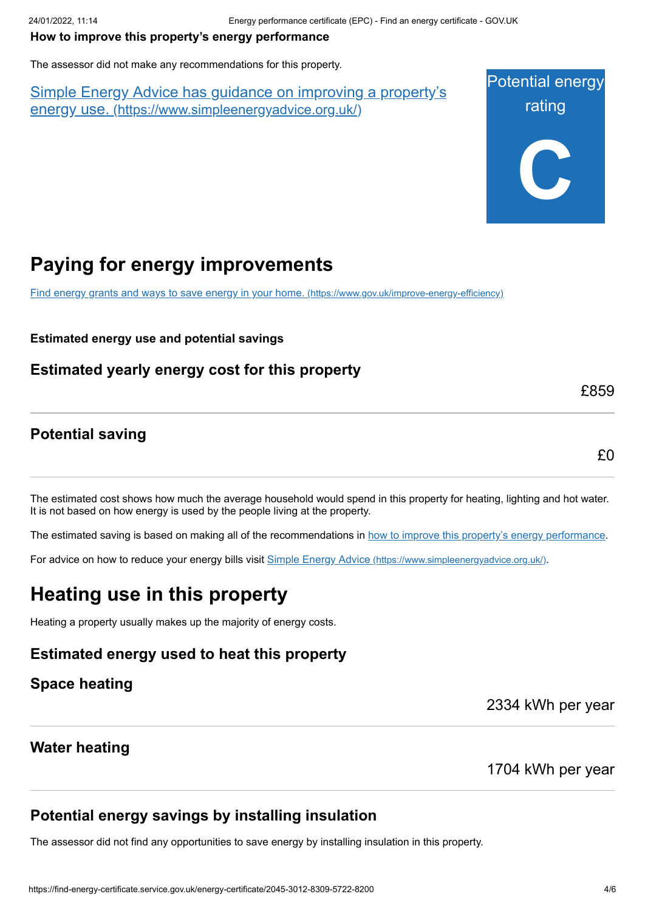#### <span id="page-3-0"></span>**How to improve this property's energy performance**

The assessor did not make any recommendations for this property.

Simple Energy Advice has guidance on improving a property's energy use. [\(https://www.simpleenergyadvice.org.uk/\)](https://www.simpleenergyadvice.org.uk/)



# **Paying for energy improvements**

[Find energy grants and ways to save energy in your home.](https://www.gov.uk/improve-energy-efficiency) (https://www.gov.uk/improve-energy-efficiency)

**Estimated energy use and potential savings**

**Estimated yearly energy cost for this property**

### **Potential saving**

£0

£859

The estimated cost shows how much the average household would spend in this property for heating, lighting and hot water. It is not based on how energy is used by the people living at the property.

The estimated saving is based on making all of the recommendations in [how to improve this property's energy performance.](#page-3-0)

For advice on how to reduce your energy bills visit Simple Energy Advice [\(https://www.simpleenergyadvice.org.uk/\)](https://www.simpleenergyadvice.org.uk/).

# **Heating use in this property**

Heating a property usually makes up the majority of energy costs.

**Estimated energy used to heat this property**

**Space heating**

2334 kWh per year

### **Water heating**

1704 kWh per year

### **Potential energy savings by installing insulation**

The assessor did not find any opportunities to save energy by installing insulation in this property.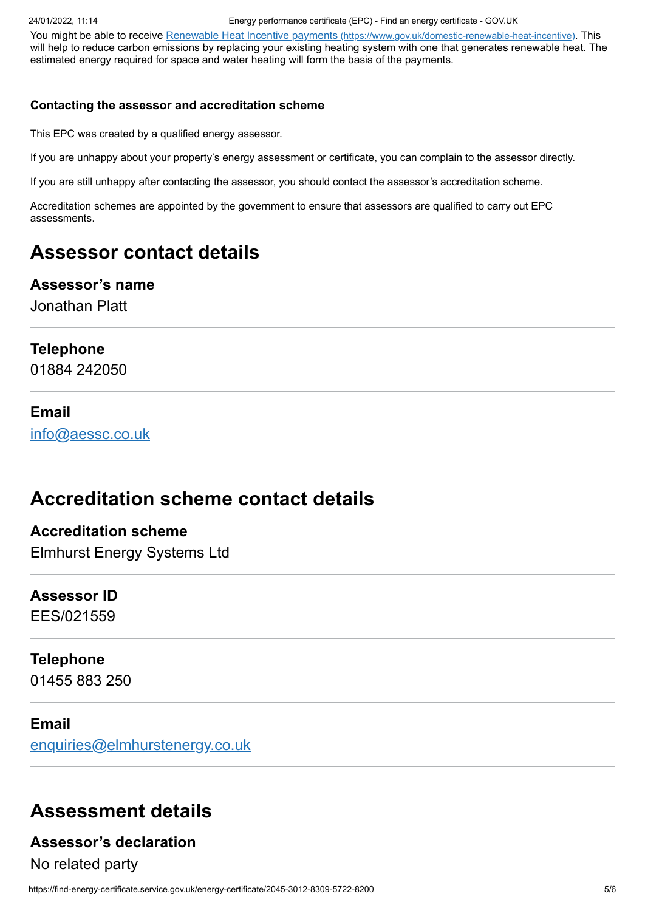24/01/2022, 11:14 Energy performance certificate (EPC) - Find an energy certificate - GOV.UK

You might be able to receive Renewable Heat Incentive payments [\(https://www.gov.uk/domestic-renewable-heat-incentive\)](https://www.gov.uk/domestic-renewable-heat-incentive). This will help to reduce carbon emissions by replacing your existing heating system with one that generates renewable heat. The estimated energy required for space and water heating will form the basis of the payments.

#### **Contacting the assessor and accreditation scheme**

This EPC was created by a qualified energy assessor.

If you are unhappy about your property's energy assessment or certificate, you can complain to the assessor directly.

If you are still unhappy after contacting the assessor, you should contact the assessor's accreditation scheme.

Accreditation schemes are appointed by the government to ensure that assessors are qualified to carry out EPC assessments.

# **Assessor contact details**

### **Assessor's name**

Jonathan Platt

#### **Telephone**

01884 242050

#### **Email**

[info@aessc.co.uk](mailto:info@aessc.co.uk)

# **Accreditation scheme contact details**

### **Accreditation scheme** Elmhurst Energy Systems Ltd

# **Assessor ID**

EES/021559

### **Telephone**

01455 883 250

### **Email**

[enquiries@elmhurstenergy.co.uk](mailto:enquiries@elmhurstenergy.co.uk)

# **Assessment details**

### **Assessor's declaration**

No related party